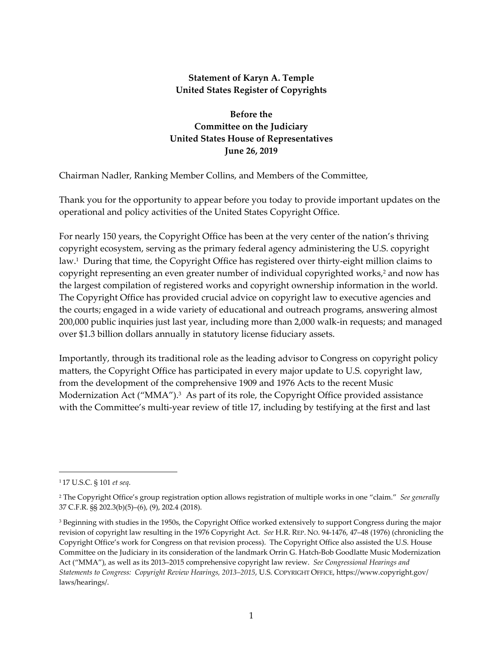#### **Statement of Karyn A. Temple United States Register of Copyrights**

**Before the Committee on the Judiciary United States House of Representatives June 26, 2019** 

Chairman Nadler, Ranking Member Collins, and Members of the Committee,

Thank you for the opportunity to appear before you today to provide important updates on the operational and policy activities of the United States Copyright Office.

For nearly 150 years, the Copyright Office has been at the very center of the nation's thriving copyright ecosystem, serving as the primary federal agency administering the U.S. copyright law.<sup>1</sup> During that time, the Copyright Office has registered over thirty-eight million claims to copyright representing an even greater number of individual copyrighted works,<sup>2</sup> and now has the largest compilation of registered works and copyright ownership information in the world. The Copyright Office has provided crucial advice on copyright law to executive agencies and the courts; engaged in a wide variety of educational and outreach programs, answering almost 200,000 public inquiries just last year, including more than 2,000 walk‐in requests; and managed over \$1.3 billion dollars annually in statutory license fiduciary assets.

Importantly, through its traditional role as the leading advisor to Congress on copyright policy matters, the Copyright Office has participated in every major update to U.S. copyright law, from the development of the comprehensive 1909 and 1976 Acts to the recent Music Modernization Act (" $MMA$ ").<sup>3</sup> As part of its role, the Copyright Office provided assistance with the Committee's multi-year review of title 17, including by testifying at the first and last

<sup>1</sup> 17 U.S.C. § 101 *et seq*.

<sup>2</sup> The Copyright Office's group registration option allows registration of multiple works in one "claim." *See generally* 37 C.F.R. §§ 202.3(b)(5)–(6), (9), 202.4 (2018).

<sup>&</sup>lt;sup>3</sup> Beginning with studies in the 1950s, the Copyright Office worked extensively to support Congress during the major revision of copyright law resulting in the 1976 Copyright Act. *See* H.R. REP. NO. 94‐1476, 47–48 (1976) (chronicling the Copyright Office's work for Congress on that revision process). The Copyright Office also assisted the U.S. House Committee on the Judiciary in its consideration of the landmark Orrin G. Hatch‐Bob Goodlatte Music Modernization Act ("MMA"), as well as its 2013–2015 comprehensive copyright law review. *See Congressional Hearings and Statements to Congress: Copyright Review Hearings, 2013–2015*, U.S. COPYRIGHT OFFICE, https://www.copyright.gov/ laws/hearings/.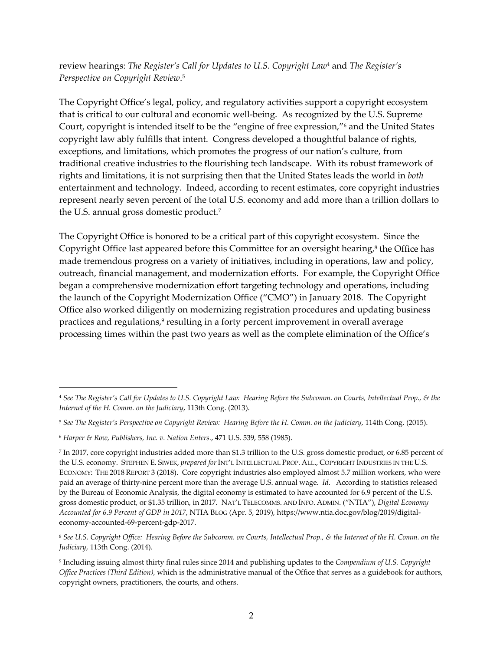review hearings: *The Register's Call for Updates to U.S. Copyright Law*<sup>4</sup> and *The Register's Perspective on Copyright Review*. 5

The Copyright Office's legal, policy, and regulatory activities support a copyright ecosystem that is critical to our cultural and economic well‐being. As recognized by the U.S. Supreme Court, copyright is intended itself to be the "engine of free expression,"6 and the United States copyright law ably fulfills that intent. Congress developed a thoughtful balance of rights, exceptions, and limitations, which promotes the progress of our nation's culture, from traditional creative industries to the flourishing tech landscape. With its robust framework of rights and limitations, it is not surprising then that the United States leads the world in *both* entertainment and technology. Indeed, according to recent estimates, core copyright industries represent nearly seven percent of the total U.S. economy and add more than a trillion dollars to the U.S. annual gross domestic product.7

The Copyright Office is honored to be a critical part of this copyright ecosystem. Since the Copyright Office last appeared before this Committee for an oversight hearing, $8$  the Office has made tremendous progress on a variety of initiatives, including in operations, law and policy, outreach, financial management, and modernization efforts. For example, the Copyright Office began a comprehensive modernization effort targeting technology and operations, including the launch of the Copyright Modernization Office ("CMO") in January 2018. The Copyright Office also worked diligently on modernizing registration procedures and updating business practices and regulations,<sup>9</sup> resulting in a forty percent improvement in overall average processing times within the past two years as well as the complete elimination of the Office's

<sup>&</sup>lt;sup>4</sup> See The Register's Call for Updates to U.S. Copyright Law: Hearing Before the Subcomm. on Courts, Intellectual Prop., & the *Internet of the H. Comm. on the Judiciary*, 113th Cong. (2013).

<sup>&</sup>lt;sup>5</sup> See The Register's Perspective on Copyright Review: Hearing Before the H. Comm. on the Judiciary, 114th Cong. (2015).

<sup>6</sup> *Harper & Row, Publishers, Inc. v. Nation Enters.*, 471 U.S. 539, 558 (1985).

<sup>7</sup> In 2017, core copyright industries added more than \$1.3 trillion to the U.S. gross domestic product, or 6.85 percent of the U.S. economy. STEPHEN E. SIWEK, *prepared for*INT'L INTELLECTUAL PROP. ALL., COPYRIGHT INDUSTRIES IN THE U.S. ECONOMY: THE 2018 REPORT 3 (2018). Core copyright industries also employed almost 5.7 million workers, who were paid an average of thirty-nine percent more than the average U.S. annual wage. *Id.* According to statistics released by the Bureau of Economic Analysis, the digital economy is estimated to have accounted for 6.9 percent of the U.S. gross domestic product, or \$1.35 trillion, in 2017. NAT'L TELECOMMS. AND INFO. ADMIN. ("NTIA"), *Digital Economy Accounted for 6.9 Percent of GDP in 2017*, NTIA BLOG (Apr. 5, 2019), https://www.ntia.doc.gov/blog/2019/digital‐ economy‐accounted‐69‐percent‐gdp‐2017.

<sup>&</sup>lt;sup>8</sup> See U.S. Copyright Office: Hearing Before the Subcomm. on Courts, Intellectual Prop., & the Internet of the H. Comm. on the *Judiciary*, 113th Cong. (2014).

<sup>9</sup> Including issuing almost thirty final rules since 2014 and publishing updates to the *Compendium of U.S. Copyright Office Practices (Third Edition)*, which is the administrative manual of the Office that serves as a guidebook for authors, copyright owners, practitioners, the courts, and others.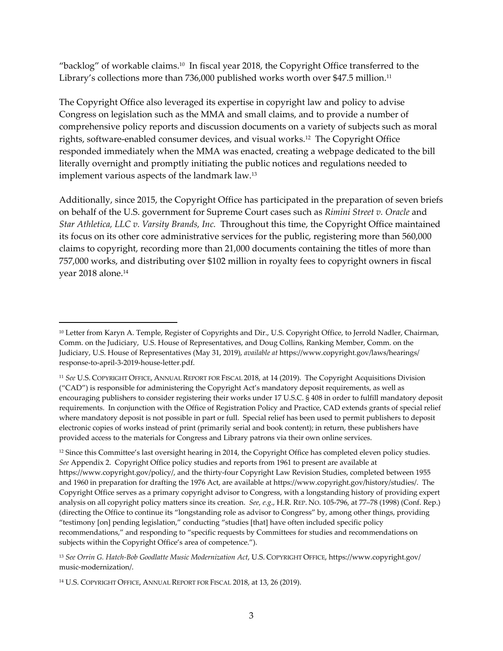"backlog" of workable claims.<sup>10</sup> In fiscal year 2018, the Copyright Office transferred to the Library's collections more than 736,000 published works worth over \$47.5 million.<sup>11</sup>

The Copyright Office also leveraged its expertise in copyright law and policy to advise Congress on legislation such as the MMA and small claims, and to provide a number of comprehensive policy reports and discussion documents on a variety of subjects such as moral rights, software‐enabled consumer devices, and visual works.12 The Copyright Office responded immediately when the MMA was enacted, creating a webpage dedicated to the bill literally overnight and promptly initiating the public notices and regulations needed to implement various aspects of the landmark law.13

Additionally, since 2015, the Copyright Office has participated in the preparation of seven briefs on behalf of the U.S. government for Supreme Court cases such as *Rimini Street v. Oracle* and *Star Athletica, LLC v. Varsity Brands, Inc.* Throughout this time, the Copyright Office maintained its focus on its other core administrative services for the public, registering more than 560,000 claims to copyright, recording more than 21,000 documents containing the titles of more than 757,000 works, and distributing over \$102 million in royalty fees to copyright owners in fiscal year 2018 alone.14

<sup>&</sup>lt;sup>10</sup> Letter from Karyn A. Temple, Register of Copyrights and Dir., U.S. Copyright Office, to Jerrold Nadler, Chairman, Comm. on the Judiciary, U.S. House of Representatives, and Doug Collins, Ranking Member, Comm. on the Judiciary, U.S. House of Representatives (May 31, 2019), *available at* https://www.copyright.gov/laws/hearings/ response‐to‐april‐3‐2019‐house‐letter.pdf.

<sup>11</sup> *See* U.S. COPYRIGHT OFFICE, ANNUAL REPORT FOR FISCAL 2018, at 14 (2019). The Copyright Acquisitions Division ("CAD") is responsible for administering the Copyright Act's mandatory deposit requirements, as well as encouraging publishers to consider registering their works under 17 U.S.C. § 408 in order to fulfill mandatory deposit requirements. In conjunction with the Office of Registration Policy and Practice, CAD extends grants of special relief where mandatory deposit is not possible in part or full. Special relief has been used to permit publishers to deposit electronic copies of works instead of print (primarily serial and book content); in return, these publishers have provided access to the materials for Congress and Library patrons via their own online services.

<sup>&</sup>lt;sup>12</sup> Since this Committee's last oversight hearing in 2014, the Copyright Office has completed eleven policy studies. *See* Appendix 2. Copyright Office policy studies and reports from 1961 to present are available at https://www.copyright.gov/policy/, and the thirty‐four Copyright Law Revision Studies, completed between 1955 and 1960 in preparation for drafting the 1976 Act, are available at https://www.copyright.gov/history/studies/. The Copyright Office serves as a primary copyright advisor to Congress, with a longstanding history of providing expert analysis on all copyright policy matters since its creation. *See, e.g*., H.R. REP. NO. 105‐796, at 77–78 (1998) (Conf. Rep.) (directing the Office to continue its "longstanding role as advisor to Congress" by, among other things, providing "testimony [on] pending legislation," conducting "studies [that] have often included specific policy recommendations," and responding to "specific requests by Committees for studies and recommendations on subjects within the Copyright Office's area of competence.").

<sup>13</sup> *See Orrin G. Hatch‐Bob Goodlatte Music Modernization Act*, U.S. COPYRIGHT OFFICE, https://www.copyright.gov/ music‐modernization/.

<sup>14</sup> U.S. COPYRIGHT OFFICE, ANNUAL REPORT FOR FISCAL 2018, at 13, 26 (2019).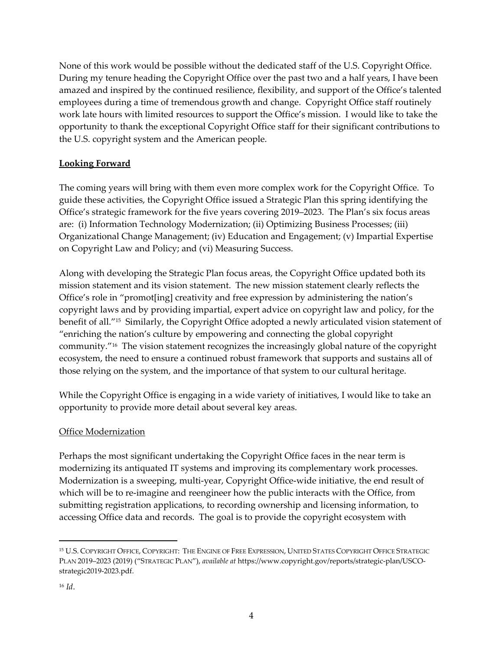None of this work would be possible without the dedicated staff of the U.S. Copyright Office. During my tenure heading the Copyright Office over the past two and a half years, I have been amazed and inspired by the continued resilience, flexibility, and support of the Office's talented employees during a time of tremendous growth and change. Copyright Office staff routinely work late hours with limited resources to support the Office's mission. I would like to take the opportunity to thank the exceptional Copyright Office staff for their significant contributions to the U.S. copyright system and the American people.

#### **Looking Forward**

The coming years will bring with them even more complex work for the Copyright Office. To guide these activities, the Copyright Office issued a Strategic Plan this spring identifying the Office's strategic framework for the five years covering 2019–2023. The Plan's six focus areas are: (i) Information Technology Modernization; (ii) Optimizing Business Processes; (iii) Organizational Change Management; (iv) Education and Engagement; (v) Impartial Expertise on Copyright Law and Policy; and (vi) Measuring Success.

Along with developing the Strategic Plan focus areas, the Copyright Office updated both its mission statement and its vision statement. The new mission statement clearly reflects the Office's role in "promot[ing] creativity and free expression by administering the nation's copyright laws and by providing impartial, expert advice on copyright law and policy, for the benefit of all."15 Similarly, the Copyright Office adopted a newly articulated vision statement of "enriching the nation's culture by empowering and connecting the global copyright community."16 The vision statement recognizes the increasingly global nature of the copyright ecosystem, the need to ensure a continued robust framework that supports and sustains all of those relying on the system, and the importance of that system to our cultural heritage.

While the Copyright Office is engaging in a wide variety of initiatives, I would like to take an opportunity to provide more detail about several key areas.

#### Office Modernization

Perhaps the most significant undertaking the Copyright Office faces in the near term is modernizing its antiquated IT systems and improving its complementary work processes. Modernization is a sweeping, multi-year, Copyright Office-wide initiative, the end result of which will be to re-imagine and reengineer how the public interacts with the Office, from submitting registration applications, to recording ownership and licensing information, to accessing Office data and records. The goal is to provide the copyright ecosystem with

<sup>15</sup> U.S. COPYRIGHT OFFICE, COPYRIGHT: THE ENGINE OF FREE EXPRESSION, UNITED STATES COPYRIGHT OFFICE STRATEGIC PLAN 2019–2023 (2019) ("STRATEGIC PLAN"), *available at* https://www.copyright.gov/reports/strategic‐plan/USCO‐ strategic2019‐2023.pdf.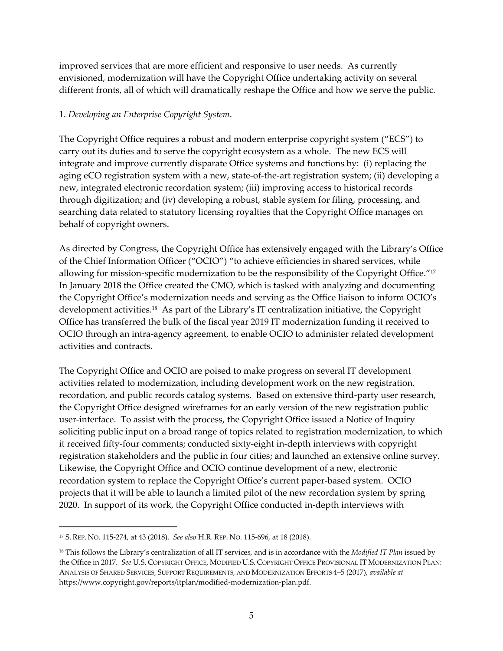improved services that are more efficient and responsive to user needs. As currently envisioned, modernization will have the Copyright Office undertaking activity on several different fronts, all of which will dramatically reshape the Office and how we serve the public.

#### 1. *Developing an Enterprise Copyright System*.

The Copyright Office requires a robust and modern enterprise copyright system ("ECS") to carry out its duties and to serve the copyright ecosystem as a whole.The new ECS will integrate and improve currently disparate Office systems and functions by: (i) replacing the aging eCO registration system with a new, state‐of‐the‐art registration system; (ii) developing a new, integrated electronic recordation system; (iii) improving access to historical records through digitization; and (iv) developing a robust, stable system for filing, processing, and searching data related to statutory licensing royalties that the Copyright Office manages on behalf of copyright owners.

As directed by Congress, the Copyright Office has extensively engaged with the Library's Office of the Chief Information Officer ("OCIO") "to achieve efficiencies in shared services, while allowing for mission-specific modernization to be the responsibility of the Copyright Office."<sup>17</sup> In January 2018 the Office created the CMO, which is tasked with analyzing and documenting the Copyright Office's modernization needs and serving as the Office liaison to inform OCIO's development activities.18 As part of the Library's IT centralization initiative, the Copyright Office has transferred the bulk of the fiscal year 2019 IT modernization funding it received to OCIO through an intra‐agency agreement, to enable OCIO to administer related development activities and contracts.

The Copyright Office and OCIO are poised to make progress on several IT development activities related to modernization, including development work on the new registration, recordation, and public records catalog systems. Based on extensive third‐party user research, the Copyright Office designed wireframes for an early version of the new registration public user-interface. To assist with the process, the Copyright Office issued a Notice of Inquiry soliciting public input on a broad range of topics related to registration modernization, to which it received fifty‐four comments; conducted sixty‐eight in‐depth interviews with copyright registration stakeholders and the public in four cities; and launched an extensive online survey. Likewise, the Copyright Office and OCIO continue development of a new, electronic recordation system to replace the Copyright Office's current paper‐based system. OCIO projects that it will be able to launch a limited pilot of the new recordation system by spring 2020. In support of its work, the Copyright Office conducted in‐depth interviews with

<sup>17</sup> S. REP. NO. 115‐274, at 43 (2018). *See also* H.R. REP. NO. 115‐696, at 18 (2018).

<sup>18</sup> This follows the Library's centralization of all IT services, and is in accordance with the *Modified IT Plan* issued by the Office in 2017. *See* U.S. COPYRIGHT OFFICE, MODIFIED U.S. COPYRIGHT OFFICE PROVISIONAL IT MODERNIZATION PLAN: ANALYSIS OF SHARED SERVICES, SUPPORT REQUIREMENTS, AND MODERNIZATION EFFORTS 4–5 (2017), *available at* https://www.copyright.gov/reports/itplan/modified‐modernization‐plan.pdf.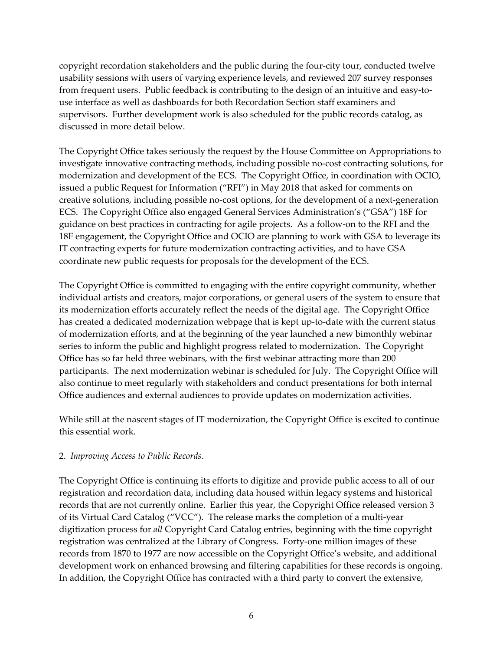copyright recordation stakeholders and the public during the four‐city tour, conducted twelve usability sessions with users of varying experience levels, and reviewed 207 survey responses from frequent users. Public feedback is contributing to the design of an intuitive and easy-touse interface as well as dashboards for both Recordation Section staff examiners and supervisors. Further development work is also scheduled for the public records catalog, as discussed in more detail below.

The Copyright Office takes seriously the request by the House Committee on Appropriations to investigate innovative contracting methods, including possible no‐cost contracting solutions, for modernization and development of the ECS. The Copyright Office, in coordination with OCIO, issued a public Request for Information ("RFI") in May 2018 that asked for comments on creative solutions, including possible no-cost options, for the development of a next-generation ECS. The Copyright Office also engaged General Services Administration's ("GSA") 18F for guidance on best practices in contracting for agile projects. As a follow‐on to the RFI and the 18F engagement, the Copyright Office and OCIO are planning to work with GSA to leverage its IT contracting experts for future modernization contracting activities, and to have GSA coordinate new public requests for proposals for the development of the ECS.

The Copyright Office is committed to engaging with the entire copyright community, whether individual artists and creators, major corporations, or general users of the system to ensure that its modernization efforts accurately reflect the needs of the digital age. The Copyright Office has created a dedicated modernization webpage that is kept up-to-date with the current status of modernization efforts, and at the beginning of the year launched a new bimonthly webinar series to inform the public and highlight progress related to modernization. The Copyright Office has so far held three webinars, with the first webinar attracting more than 200 participants. The next modernization webinar is scheduled for July. The Copyright Office will also continue to meet regularly with stakeholders and conduct presentations for both internal Office audiences and external audiences to provide updates on modernization activities.

While still at the nascent stages of IT modernization, the Copyright Office is excited to continue this essential work.

#### 2. *Improving Access to Public Records*.

The Copyright Office is continuing its efforts to digitize and provide public access to all of our registration and recordation data, including data housed within legacy systems and historical records that are not currently online. Earlier this year, the Copyright Office released version 3 of its Virtual Card Catalog ("VCC"). The release marks the completion of a multi‐year digitization process for *all* Copyright Card Catalog entries, beginning with the time copyright registration was centralized at the Library of Congress. Forty-one million images of these records from 1870 to 1977 are now accessible on the Copyright Office's website, and additional development work on enhanced browsing and filtering capabilities for these records is ongoing. In addition, the Copyright Office has contracted with a third party to convert the extensive,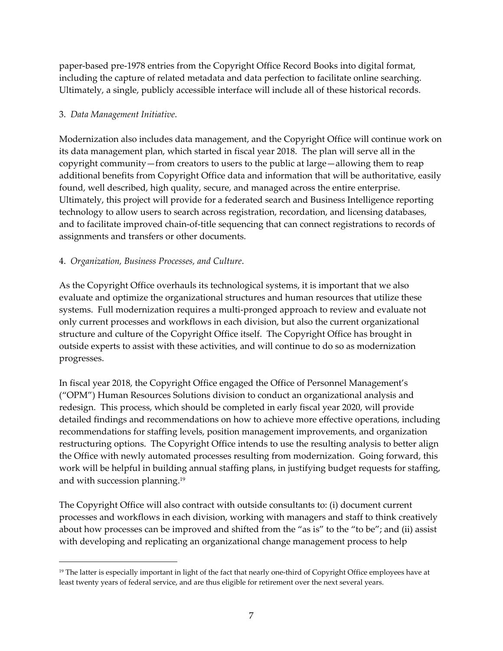paper‐based pre‐1978 entries from the Copyright Office Record Books into digital format, including the capture of related metadata and data perfection to facilitate online searching. Ultimately, a single, publicly accessible interface will include all of these historical records.

#### 3. *Data Management Initiative*.

Modernization also includes data management, and the Copyright Office will continue work on its data management plan, which started in fiscal year 2018. The plan will serve all in the copyright community—from creators to users to the public at large—allowing them to reap additional benefits from Copyright Office data and information that will be authoritative, easily found, well described, high quality, secure, and managed across the entire enterprise. Ultimately, this project will provide for a federated search and Business Intelligence reporting technology to allow users to search across registration, recordation, and licensing databases, and to facilitate improved chain‐of‐title sequencing that can connect registrations to records of assignments and transfers or other documents.

#### 4. *Organization, Business Processes, and Culture*.

As the Copyright Office overhauls its technological systems, it is important that we also evaluate and optimize the organizational structures and human resources that utilize these systems. Full modernization requires a multi‐pronged approach to review and evaluate not only current processes and workflows in each division, but also the current organizational structure and culture of the Copyright Office itself. The Copyright Office has brought in outside experts to assist with these activities, and will continue to do so as modernization progresses.

In fiscal year 2018, the Copyright Office engaged the Office of Personnel Management's ("OPM") Human Resources Solutions division to conduct an organizational analysis and redesign. This process, which should be completed in early fiscal year 2020, will provide detailed findings and recommendations on how to achieve more effective operations, including recommendations for staffing levels, position management improvements, and organization restructuring options. The Copyright Office intends to use the resulting analysis to better align the Office with newly automated processes resulting from modernization. Going forward, this work will be helpful in building annual staffing plans, in justifying budget requests for staffing, and with succession planning.19

The Copyright Office will also contract with outside consultants to: (i) document current processes and workflows in each division, working with managers and staff to think creatively about how processes can be improved and shifted from the "as is" to the "to be"; and (ii) assist with developing and replicating an organizational change management process to help

<sup>&</sup>lt;sup>19</sup> The latter is especially important in light of the fact that nearly one-third of Copyright Office employees have at least twenty years of federal service, and are thus eligible for retirement over the next several years.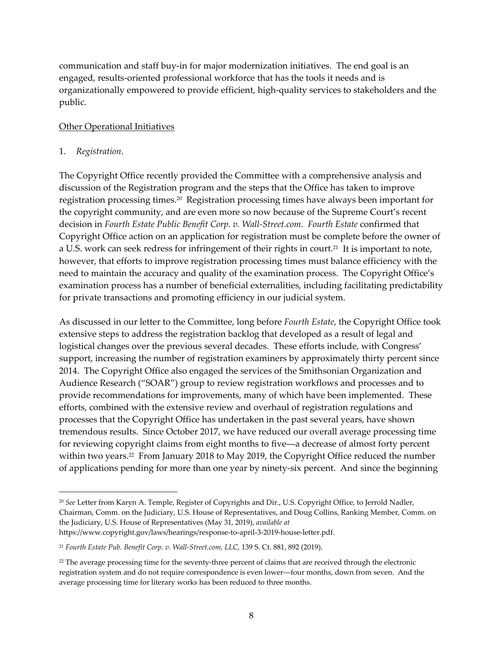communication and staff buy‐in for major modernization initiatives. The end goal is an engaged, results‐oriented professional workforce that has the tools it needs and is organizationally empowered to provide efficient, high‐quality services to stakeholders and the public.

#### Other Operational Initiatives

#### 1. *Registration*.

The Copyright Office recently provided the Committee with a comprehensive analysis and discussion of the Registration program and the steps that the Office has taken to improve registration processing times.20 Registration processing times have always been important for the copyright community, and are even more so now because of the Supreme Court's recent decision in *Fourth Estate Public Benefit Corp. v. Wall‐Street.com*. *Fourth Estate* confirmed that Copyright Office action on an application for registration must be complete before the owner of a U.S. work can seek redress for infringement of their rights in court.<sup>21</sup> It is important to note, however, that efforts to improve registration processing times must balance efficiency with the need to maintain the accuracy and quality of the examination process. The Copyright Office's examination process has a number of beneficial externalities, including facilitating predictability for private transactions and promoting efficiency in our judicial system.

As discussed in our letter to the Committee, long before *Fourth Estate*, the Copyright Office took extensive steps to address the registration backlog that developed as a result of legal and logistical changes over the previous several decades. These efforts include, with Congress' support, increasing the number of registration examiners by approximately thirty percent since 2014. The Copyright Office also engaged the services of the Smithsonian Organization and Audience Research ("SOAR") group to review registration workflows and processes and to provide recommendations for improvements, many of which have been implemented. These efforts, combined with the extensive review and overhaul of registration regulations and processes that the Copyright Office has undertaken in the past several years, have shown tremendous results. Since October 2017, we have reduced our overall average processing time for reviewing copyright claims from eight months to five―a decrease of almost forty percent within two years.<sup>22</sup> From January 2018 to May 2019, the Copyright Office reduced the number of applications pending for more than one year by ninety‐six percent. And since the beginning

<sup>20</sup> *See* Letter from Karyn A. Temple, Register of Copyrights and Dir., U.S. Copyright Office, to Jerrold Nadler, Chairman, Comm. on the Judiciary, U.S. House of Representatives, and Doug Collins, Ranking Member, Comm. on the Judiciary, U.S. House of Representatives (May 31, 2019), *available at* https://www.copyright.gov/laws/hearings/response‐to‐april‐3‐2019‐house‐letter.pdf.

<sup>21</sup> *Fourth Estate Pub. Benefit Corp. v. Wall‐Street.com, LLC*, 139 S. Ct. 881, 892 (2019).

 $^{22}$  The average processing time for the seventy-three percent of claims that are received through the electronic registration system and do not require correspondence is even lower―four months, down from seven. And the average processing time for literary works has been reduced to three months.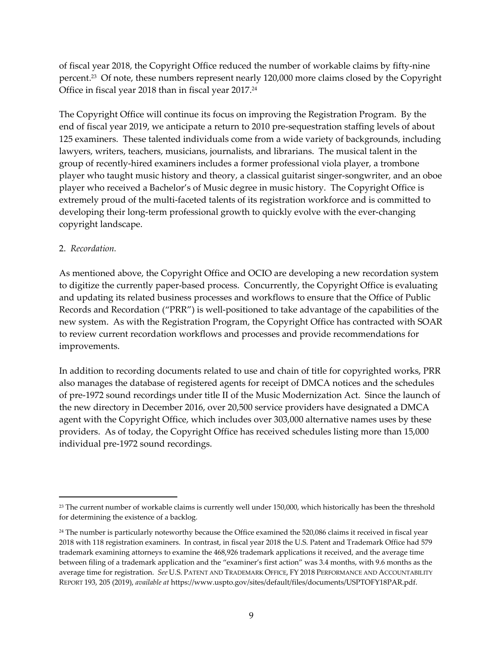of fiscal year 2018, the Copyright Office reduced the number of workable claims by fifty‐nine percent.23 Of note, these numbers represent nearly 120,000 more claims closed by the Copyright Office in fiscal year 2018 than in fiscal year 2017.<sup>24</sup>

The Copyright Office will continue its focus on improving the Registration Program. By the end of fiscal year 2019, we anticipate a return to 2010 pre‐sequestration staffing levels of about 125 examiners. These talented individuals come from a wide variety of backgrounds, including lawyers, writers, teachers, musicians, journalists, and librarians. The musical talent in the group of recently‐hired examiners includes a former professional viola player, a trombone player who taught music history and theory, a classical guitarist singer-songwriter, and an oboe player who received a Bachelor's of Music degree in music history. The Copyright Office is extremely proud of the multi-faceted talents of its registration workforce and is committed to developing their long-term professional growth to quickly evolve with the ever-changing copyright landscape.

#### 2. *Recordation.*

As mentioned above, the Copyright Office and OCIO are developing a new recordation system to digitize the currently paper‐based process. Concurrently, the Copyright Office is evaluating and updating its related business processes and workflows to ensure that the Office of Public Records and Recordation ("PRR") is well‐positioned to take advantage of the capabilities of the new system. As with the Registration Program, the Copyright Office has contracted with SOAR to review current recordation workflows and processes and provide recommendations for improvements.

In addition to recording documents related to use and chain of title for copyrighted works, PRR also manages the database of registered agents for receipt of DMCA notices and the schedules of pre‐1972 sound recordings under title II of the Music Modernization Act. Since the launch of the new directory in December 2016, over 20,500 service providers have designated a DMCA agent with the Copyright Office, which includes over 303,000 alternative names uses by these providers. As of today, the Copyright Office has received schedules listing more than 15,000 individual pre‐1972 sound recordings.

<sup>&</sup>lt;sup>23</sup> The current number of workable claims is currently well under 150,000, which historically has been the threshold for determining the existence of a backlog.

<sup>&</sup>lt;sup>24</sup> The number is particularly noteworthy because the Office examined the 520,086 claims it received in fiscal year 2018 with 118 registration examiners. In contrast, in fiscal year 2018 the U.S. Patent and Trademark Office had 579 trademark examining attorneys to examine the 468,926 trademark applications it received, and the average time between filing of a trademark application and the "examiner's first action" was 3.4 months, with 9.6 months as the average time for registration. *See* U.S. PATENT AND TRADEMARK OFFICE, FY 2018 PERFORMANCE AND ACCOUNTABILITY REPORT 193, 205 (2019), *available at* https://www.uspto.gov/sites/default/files/documents/USPTOFY18PAR.pdf.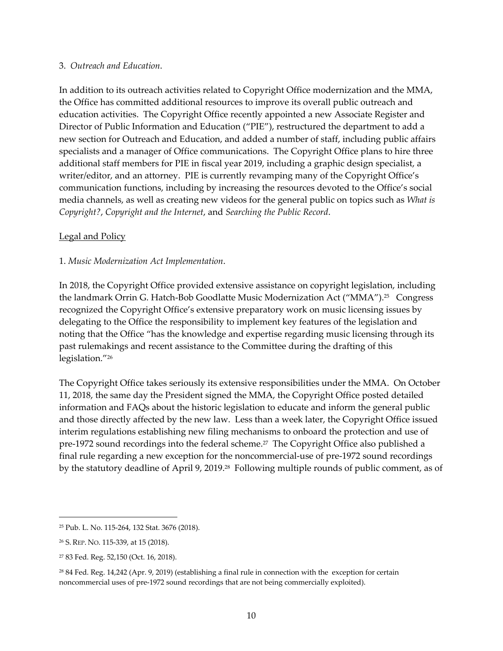#### 3. *Outreach and Education*.

In addition to its outreach activities related to Copyright Office modernization and the MMA, the Office has committed additional resources to improve its overall public outreach and education activities. The Copyright Office recently appointed a new Associate Register and Director of Public Information and Education ("PIE"), restructured the department to add a new section for Outreach and Education, and added a number of staff, including public affairs specialists and a manager of Office communications. The Copyright Office plans to hire three additional staff members for PIE in fiscal year 2019, including a graphic design specialist, a writer/editor, and an attorney. PIE is currently revamping many of the Copyright Office's communication functions, including by increasing the resources devoted to the Office's social media channels, as well as creating new videos for the general public on topics such as *What is Copyright?*, *Copyright and the Internet*, and *Searching the Public Record*.

#### **Legal and Policy**

#### 1. *Music Modernization Act Implementation*.

In 2018, the Copyright Office provided extensive assistance on copyright legislation, including the landmark Orrin G. Hatch-Bob Goodlatte Music Modernization Act ("MMA").<sup>25</sup> Congress recognized the Copyright Office's extensive preparatory work on music licensing issues by delegating to the Office the responsibility to implement key features of the legislation and noting that the Office "has the knowledge and expertise regarding music licensing through its past rulemakings and recent assistance to the Committee during the drafting of this legislation."26

The Copyright Office takes seriously its extensive responsibilities under the MMA. On October 11, 2018, the same day the President signed the MMA, the Copyright Office posted detailed information and FAQs about the historic legislation to educate and inform the general public and those directly affected by the new law. Less than a week later, the Copyright Office issued interim regulations establishing new filing mechanisms to onboard the protection and use of pre‐1972 sound recordings into the federal scheme.27 The Copyright Office also published a final rule regarding a new exception for the noncommercial-use of pre-1972 sound recordings by the statutory deadline of April 9, 2019.<sup>28</sup> Following multiple rounds of public comment, as of

<sup>25</sup> Pub. L. No. 115‐264, 132 Stat. 3676 (2018).

<sup>26</sup> S. REP. NO. 115‐339, at 15 (2018).

<sup>27</sup> 83 Fed. Reg. 52,150 (Oct. 16, 2018).

<sup>28</sup> 84 Fed. Reg. 14,242 (Apr. 9, 2019) (establishing a final rule in connection with the exception for certain noncommercial uses of pre‐1972 sound recordings that are not being commercially exploited).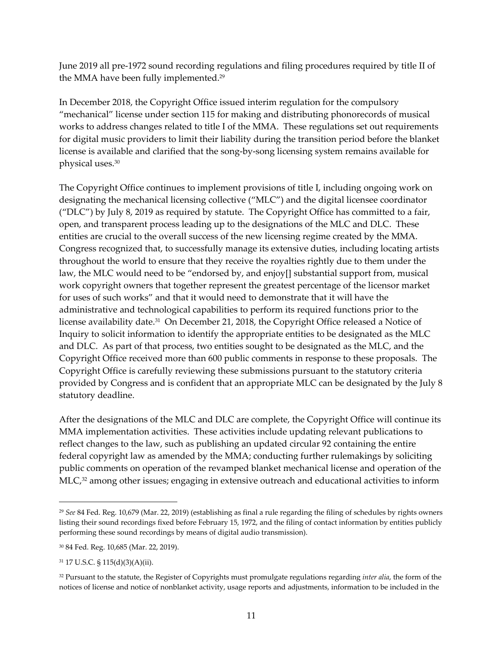June 2019 all pre‐1972 sound recording regulations and filing procedures required by title II of the MMA have been fully implemented.29

In December 2018, the Copyright Office issued interim regulation for the compulsory "mechanical" license under section 115 for making and distributing phonorecords of musical works to address changes related to title I of the MMA. These regulations set out requirements for digital music providers to limit their liability during the transition period before the blanket license is available and clarified that the song‐by‐song licensing system remains available for physical uses.30

The Copyright Office continues to implement provisions of title I, including ongoing work on designating the mechanical licensing collective ("MLC") and the digital licensee coordinator ("DLC") by July 8, 2019 as required by statute. The Copyright Office has committed to a fair, open, and transparent process leading up to the designations of the MLC and DLC. These entities are crucial to the overall success of the new licensing regime created by the MMA. Congress recognized that, to successfully manage its extensive duties, including locating artists throughout the world to ensure that they receive the royalties rightly due to them under the law, the MLC would need to be "endorsed by, and enjoy[] substantial support from, musical work copyright owners that together represent the greatest percentage of the licensor market for uses of such works" and that it would need to demonstrate that it will have the administrative and technological capabilities to perform its required functions prior to the license availability date.<sup>31</sup> On December 21, 2018, the Copyright Office released a Notice of Inquiry to solicit information to identify the appropriate entities to be designated as the MLC and DLC. As part of that process, two entities sought to be designated as the MLC, and the Copyright Office received more than 600 public comments in response to these proposals. The Copyright Office is carefully reviewing these submissions pursuant to the statutory criteria provided by Congress and is confident that an appropriate MLC can be designated by the July 8 statutory deadline.

After the designations of the MLC and DLC are complete, the Copyright Office will continue its MMA implementation activities. These activities include updating relevant publications to reflect changes to the law, such as publishing an updated circular 92 containing the entire federal copyright law as amended by the MMA; conducting further rulemakings by soliciting public comments on operation of the revamped blanket mechanical license and operation of the  $MLC<sub>32</sub>$  among other issues; engaging in extensive outreach and educational activities to inform

<sup>29</sup> *See* 84 Fed. Reg. 10,679 (Mar. 22, 2019) (establishing as final a rule regarding the filing of schedules by rights owners listing their sound recordings fixed before February 15, 1972, and the filing of contact information by entities publicly performing these sound recordings by means of digital audio transmission).

<sup>30</sup> 84 Fed. Reg. 10,685 (Mar. 22, 2019).

<sup>31</sup> 17 U.S.C. § 115(d)(3)(A)(ii).

<sup>32</sup> Pursuant to the statute, the Register of Copyrights must promulgate regulations regarding *inter alia*, the form of the notices of license and notice of nonblanket activity, usage reports and adjustments, information to be included in the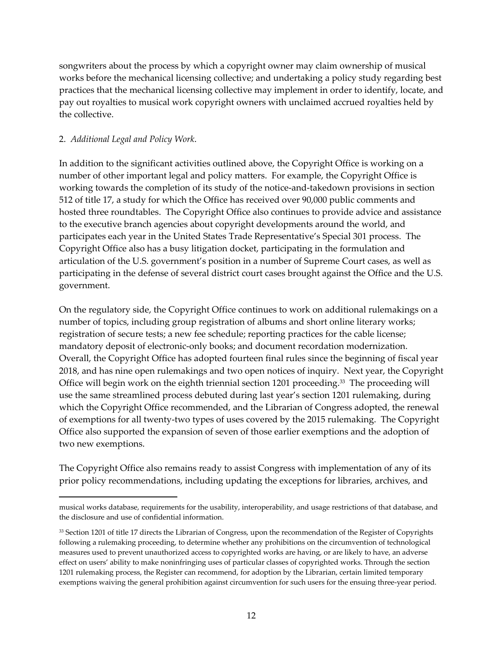songwriters about the process by which a copyright owner may claim ownership of musical works before the mechanical licensing collective; and undertaking a policy study regarding best practices that the mechanical licensing collective may implement in order to identify, locate, and pay out royalties to musical work copyright owners with unclaimed accrued royalties held by the collective.

#### 2. *Additional Legal and Policy Work*.

In addition to the significant activities outlined above, the Copyright Office is working on a number of other important legal and policy matters. For example, the Copyright Office is working towards the completion of its study of the notice-and-takedown provisions in section 512 of title 17, a study for which the Office has received over 90,000 public comments and hosted three roundtables. The Copyright Office also continues to provide advice and assistance to the executive branch agencies about copyright developments around the world, and participates each year in the United States Trade Representative's Special 301 process. The Copyright Office also has a busy litigation docket, participating in the formulation and articulation of the U.S. government's position in a number of Supreme Court cases, as well as participating in the defense of several district court cases brought against the Office and the U.S. government.

On the regulatory side, the Copyright Office continues to work on additional rulemakings on a number of topics, including group registration of albums and short online literary works; registration of secure tests; a new fee schedule; reporting practices for the cable license; mandatory deposit of electronic-only books; and document recordation modernization. Overall, the Copyright Office has adopted fourteen final rules since the beginning of fiscal year 2018, and has nine open rulemakings and two open notices of inquiry. Next year, the Copyright Office will begin work on the eighth triennial section 1201 proceeding.<sup>33</sup> The proceeding will use the same streamlined process debuted during last year's section 1201 rulemaking, during which the Copyright Office recommended, and the Librarian of Congress adopted, the renewal of exemptions for all twenty‐two types of uses covered by the 2015 rulemaking. The Copyright Office also supported the expansion of seven of those earlier exemptions and the adoption of two new exemptions.

The Copyright Office also remains ready to assist Congress with implementation of any of its prior policy recommendations, including updating the exceptions for libraries, archives, and

musical works database, requirements for the usability, interoperability, and usage restrictions of that database, and the disclosure and use of confidential information.

<sup>33</sup> Section 1201 of title 17 directs the Librarian of Congress, upon the recommendation of the Register of Copyrights following a rulemaking proceeding, to determine whether any prohibitions on the circumvention of technological measures used to prevent unauthorized access to copyrighted works are having, or are likely to have, an adverse effect on users' ability to make noninfringing uses of particular classes of copyrighted works. Through the section 1201 rulemaking process, the Register can recommend, for adoption by the Librarian, certain limited temporary exemptions waiving the general prohibition against circumvention for such users for the ensuing three-year period.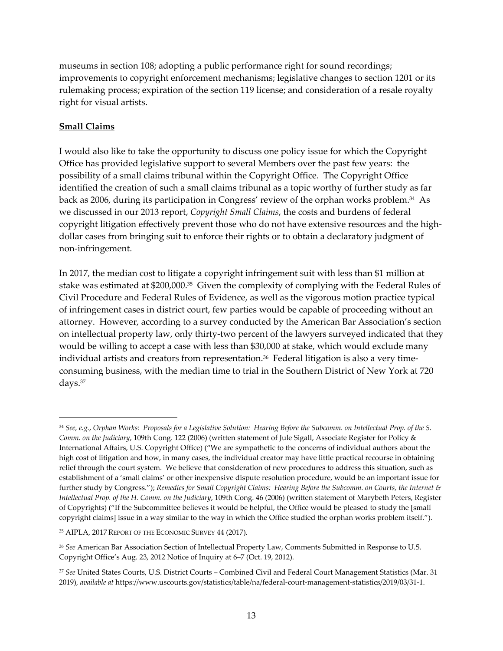museums in section 108; adopting a public performance right for sound recordings; improvements to copyright enforcement mechanisms; legislative changes to section 1201 or its rulemaking process; expiration of the section 119 license; and consideration of a resale royalty right for visual artists.

#### **Small Claims**

I would also like to take the opportunity to discuss one policy issue for which the Copyright Office has provided legislative support to several Members over the past few years: the possibility of a small claims tribunal within the Copyright Office. The Copyright Office identified the creation of such a small claims tribunal as a topic worthy of further study as far back as 2006, during its participation in Congress' review of the orphan works problem.34 As we discussed in our 2013 report, *Copyright Small Claims*, the costs and burdens of federal copyright litigation effectively prevent those who do not have extensive resources and the high‐ dollar cases from bringing suit to enforce their rights or to obtain a declaratory judgment of non‐infringement.

In 2017, the median cost to litigate a copyright infringement suit with less than \$1 million at stake was estimated at \$200,000.35 Given the complexity of complying with the Federal Rules of Civil Procedure and Federal Rules of Evidence, as well as the vigorous motion practice typical of infringement cases in district court, few parties would be capable of proceeding without an attorney. However, according to a survey conducted by the American Bar Association's section on intellectual property law, only thirty-two percent of the lawyers surveyed indicated that they would be willing to accept a case with less than \$30,000 at stake, which would exclude many individual artists and creators from representation. $36$  Federal litigation is also a very timeconsuming business, with the median time to trial in the Southern District of New York at 720 days.37

<sup>&</sup>lt;sup>34</sup> See, e.g., Orphan Works: Proposals for a Legislative Solution: Hearing Before the Subcomm. on Intellectual Prop. of the S. *Comm. on the Judiciary*, 109th Cong. 122 (2006) (written statement of Jule Sigall, Associate Register for Policy & International Affairs, U.S. Copyright Office) ("We are sympathetic to the concerns of individual authors about the high cost of litigation and how, in many cases, the individual creator may have little practical recourse in obtaining relief through the court system. We believe that consideration of new procedures to address this situation, such as establishment of a 'small claims' or other inexpensive dispute resolution procedure, would be an important issue for further study by Congress."); Remedies for Small Copyright Claims: Hearing Before the Subcomm. on Courts, the Internet & *Intellectual Prop. of the H. Comm. on the Judiciary*, 109th Cong. 46 (2006) (written statement of Marybeth Peters, Register of Copyrights) ("If the Subcommittee believes it would be helpful, the Office would be pleased to study the [small copyright claims] issue in a way similar to the way in which the Office studied the orphan works problem itself.").

<sup>35</sup> AIPLA, 2017 REPORT OF THE ECONOMIC SURVEY 44 (2017).

<sup>36</sup> *See* American Bar Association Section of Intellectual Property Law, Comments Submitted in Response to U.S. Copyright Office's Aug. 23, 2012 Notice of Inquiry at 6–7 (Oct. 19, 2012).

<sup>37</sup> *See* United States Courts, U.S. District Courts – Combined Civil and Federal Court Management Statistics (Mar. 31 2019), *available at* https://www.uscourts.gov/statistics/table/na/federal‐court‐management‐statistics/2019/03/31‐1.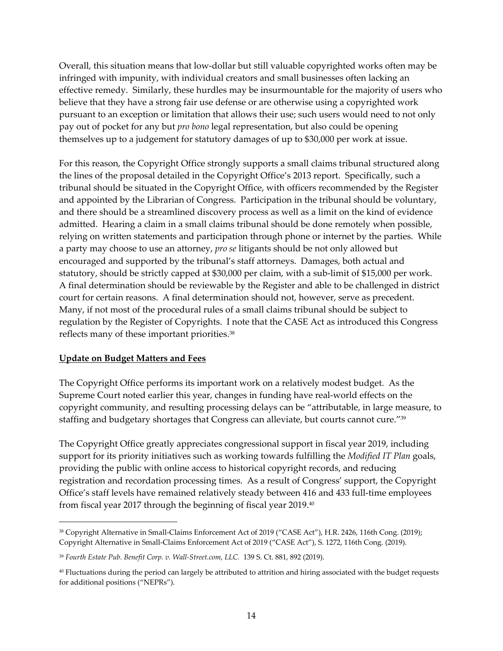Overall, this situation means that low‐dollar but still valuable copyrighted works often may be infringed with impunity, with individual creators and small businesses often lacking an effective remedy. Similarly, these hurdles may be insurmountable for the majority of users who believe that they have a strong fair use defense or are otherwise using a copyrighted work pursuant to an exception or limitation that allows their use; such users would need to not only pay out of pocket for any but *pro bono* legal representation, but also could be opening themselves up to a judgement for statutory damages of up to \$30,000 per work at issue.

For this reason, the Copyright Office strongly supports a small claims tribunal structured along the lines of the proposal detailed in the Copyright Office's 2013 report. Specifically, such a tribunal should be situated in the Copyright Office, with officers recommended by the Register and appointed by the Librarian of Congress. Participation in the tribunal should be voluntary, and there should be a streamlined discovery process as well as a limit on the kind of evidence admitted. Hearing a claim in a small claims tribunal should be done remotely when possible, relying on written statements and participation through phone or internet by the parties. While a party may choose to use an attorney, *pro se* litigants should be not only allowed but encouraged and supported by the tribunal's staff attorneys. Damages, both actual and statutory, should be strictly capped at \$30,000 per claim, with a sub‐limit of \$15,000 per work. A final determination should be reviewable by the Register and able to be challenged in district court for certain reasons. A final determination should not, however, serve as precedent. Many, if not most of the procedural rules of a small claims tribunal should be subject to regulation by the Register of Copyrights. I note that the CASE Act as introduced this Congress reflects many of these important priorities.38

#### **Update on Budget Matters and Fees**

The Copyright Office performs its important work on a relatively modest budget. As the Supreme Court noted earlier this year, changes in funding have real-world effects on the copyright community, and resulting processing delays can be "attributable, in large measure, to staffing and budgetary shortages that Congress can alleviate, but courts cannot cure."39

The Copyright Office greatly appreciates congressional support in fiscal year 2019, including support for its priority initiatives such as working towards fulfilling the *Modified IT Plan* goals, providing the public with online access to historical copyright records, and reducing registration and recordation processing times. As a result of Congress' support, the Copyright Office's staff levels have remained relatively steady between 416 and 433 full-time employees from fiscal year 2017 through the beginning of fiscal year 2019.40

<sup>38</sup> Copyright Alternative in Small‐Claims Enforcement Act of 2019 ("CASE Act"), H.R. 2426, 116th Cong. (2019); Copyright Alternative in Small‐Claims Enforcement Act of 2019 ("CASE Act"), S. 1272, 116th Cong. (2019).

<sup>39</sup> *Fourth Estate Pub. Benefit Corp. v. Wall‐Street.com, LLC.* 139 S. Ct. 881, 892 (2019).

<sup>40</sup> Fluctuations during the period can largely be attributed to attrition and hiring associated with the budget requests for additional positions ("NEPRs").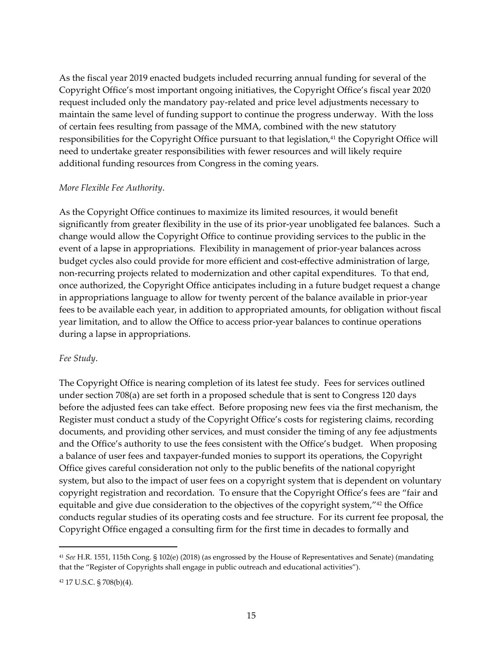As the fiscal year 2019 enacted budgets included recurring annual funding for several of the Copyright Office's most important ongoing initiatives, the Copyright Office's fiscal year 2020 request included only the mandatory pay‐related and price level adjustments necessary to maintain the same level of funding support to continue the progress underway. With the loss of certain fees resulting from passage of the MMA, combined with the new statutory responsibilities for the Copyright Office pursuant to that legislation,<sup>41</sup> the Copyright Office will need to undertake greater responsibilities with fewer resources and will likely require additional funding resources from Congress in the coming years.

#### *More Flexible Fee Authority*.

As the Copyright Office continues to maximize its limited resources, it would benefit significantly from greater flexibility in the use of its prior‐year unobligated fee balances. Such a change would allow the Copyright Office to continue providing services to the public in the event of a lapse in appropriations. Flexibility in management of prior‐year balances across budget cycles also could provide for more efficient and cost-effective administration of large, non-recurring projects related to modernization and other capital expenditures. To that end, once authorized, the Copyright Office anticipates including in a future budget request a change in appropriations language to allow for twenty percent of the balance available in prior‐year fees to be available each year, in addition to appropriated amounts, for obligation without fiscal year limitation, and to allow the Office to access prior‐year balances to continue operations during a lapse in appropriations.

#### *Fee Study*.

The Copyright Office is nearing completion of its latest fee study. Fees for services outlined under section 708(a) are set forth in a proposed schedule that is sent to Congress 120 days before the adjusted fees can take effect. Before proposing new fees via the first mechanism, the Register must conduct a study of the Copyright Office's costs for registering claims, recording documents, and providing other services, and must consider the timing of any fee adjustments and the Office's authority to use the fees consistent with the Office's budget. When proposing a balance of user fees and taxpayer‐funded monies to support its operations, the Copyright Office gives careful consideration not only to the public benefits of the national copyright system, but also to the impact of user fees on a copyright system that is dependent on voluntary copyright registration and recordation. To ensure that the Copyright Office's fees are "fair and equitable and give due consideration to the objectives of the copyright system,"42 the Office conducts regular studies of its operating costs and fee structure. For its current fee proposal, the Copyright Office engaged a consulting firm for the first time in decades to formally and

<sup>41</sup> *See* H.R. 1551, 115th Cong. § 102(e) (2018) (as engrossed by the House of Representatives and Senate) (mandating that the "Register of Copyrights shall engage in public outreach and educational activities").

<sup>42</sup> 17 U.S.C. § 708(b)(4).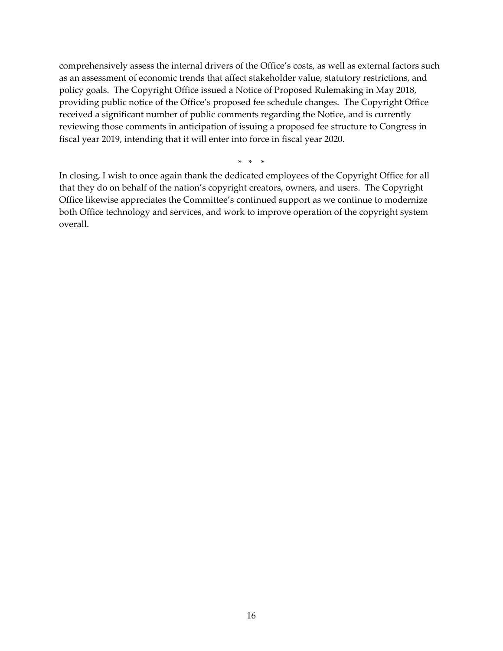comprehensively assess the internal drivers of the Office's costs, as well as external factors such as an assessment of economic trends that affect stakeholder value, statutory restrictions, and policy goals. The Copyright Office issued a Notice of Proposed Rulemaking in May 2018, providing public notice of the Office's proposed fee schedule changes. The Copyright Office received a significant number of public comments regarding the Notice, and is currently reviewing those comments in anticipation of issuing a proposed fee structure to Congress in fiscal year 2019, intending that it will enter into force in fiscal year 2020.

 $* * * *$ 

In closing, I wish to once again thank the dedicated employees of the Copyright Office for all that they do on behalf of the nation's copyright creators, owners, and users. The Copyright Office likewise appreciates the Committee's continued support as we continue to modernize both Office technology and services, and work to improve operation of the copyright system overall.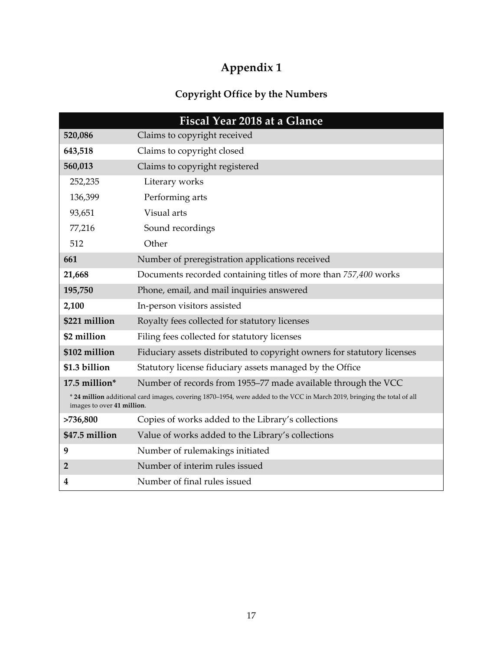# **Appendix 1**

## **Copyright Office by the Numbers**

|                                                                                                                                                       | <b>Fiscal Year 2018 at a Glance</b>                                     |
|-------------------------------------------------------------------------------------------------------------------------------------------------------|-------------------------------------------------------------------------|
| 520,086                                                                                                                                               | Claims to copyright received                                            |
| 643,518                                                                                                                                               | Claims to copyright closed                                              |
| 560,013                                                                                                                                               | Claims to copyright registered                                          |
| 252,235                                                                                                                                               | Literary works                                                          |
| 136,399                                                                                                                                               | Performing arts                                                         |
| 93,651                                                                                                                                                | Visual arts                                                             |
| 77,216                                                                                                                                                | Sound recordings                                                        |
| 512                                                                                                                                                   | Other                                                                   |
| 661                                                                                                                                                   | Number of preregistration applications received                         |
| 21,668                                                                                                                                                | Documents recorded containing titles of more than 757,400 works         |
| 195,750                                                                                                                                               | Phone, email, and mail inquiries answered                               |
| 2,100                                                                                                                                                 | In-person visitors assisted                                             |
| \$221 million                                                                                                                                         | Royalty fees collected for statutory licenses                           |
| \$2 million                                                                                                                                           | Filing fees collected for statutory licenses                            |
| \$102 million                                                                                                                                         | Fiduciary assets distributed to copyright owners for statutory licenses |
| \$1.3 billion                                                                                                                                         | Statutory license fiduciary assets managed by the Office                |
| 17.5 million*                                                                                                                                         | Number of records from 1955-77 made available through the VCC           |
| * 24 million additional card images, covering 1870-1954, were added to the VCC in March 2019, bringing the total of all<br>images to over 41 million. |                                                                         |
| >736,800                                                                                                                                              | Copies of works added to the Library's collections                      |
| \$47.5 million                                                                                                                                        | Value of works added to the Library's collections                       |
| 9                                                                                                                                                     | Number of rulemakings initiated                                         |
| $\overline{2}$                                                                                                                                        | Number of interim rules issued                                          |
| 4                                                                                                                                                     | Number of final rules issued                                            |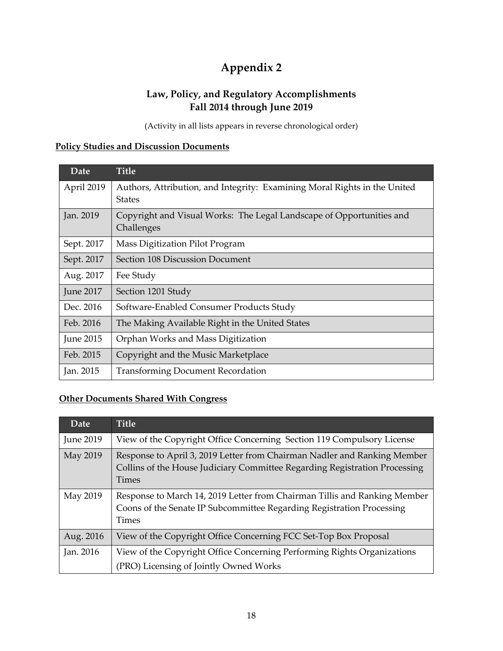## **Appendix 2**

### **Law, Policy, and Regulatory Accomplishments Fall 2014 through June 2019**

(Activity in all lists appears in reverse chronological order)

### **Policy Studies and Discussion Documents**

| Date             | <b>Title</b>                                                                               |
|------------------|--------------------------------------------------------------------------------------------|
| April 2019       | Authors, Attribution, and Integrity: Examining Moral Rights in the United<br><b>States</b> |
| Jan. 2019        | Copyright and Visual Works: The Legal Landscape of Opportunities and<br>Challenges         |
| Sept. 2017       | Mass Digitization Pilot Program                                                            |
| Sept. 2017       | Section 108 Discussion Document                                                            |
| Aug. 2017        | Fee Study                                                                                  |
| <b>June 2017</b> | Section 1201 Study                                                                         |
| Dec. 2016        | Software-Enabled Consumer Products Study                                                   |
| Feb. 2016        | The Making Available Right in the United States                                            |
| June 2015        | Orphan Works and Mass Digitization                                                         |
| Feb. 2015        | Copyright and the Music Marketplace                                                        |
| Jan. 2015        | <b>Transforming Document Recordation</b>                                                   |

#### **Other Documents Shared With Congress**

| Date             | <b>Title</b>                                                                                                                                                           |
|------------------|------------------------------------------------------------------------------------------------------------------------------------------------------------------------|
| <b>June 2019</b> | View of the Copyright Office Concerning Section 119 Compulsory License                                                                                                 |
| May 2019         | Response to April 3, 2019 Letter from Chairman Nadler and Ranking Member<br>Collins of the House Judiciary Committee Regarding Registration Processing<br><b>Times</b> |
| May 2019         | Response to March 14, 2019 Letter from Chairman Tillis and Ranking Member<br>Coons of the Senate IP Subcommittee Regarding Registration Processing<br><b>Times</b>     |
| Aug. 2016        | View of the Copyright Office Concerning FCC Set-Top Box Proposal                                                                                                       |
| Jan. 2016        | View of the Copyright Office Concerning Performing Rights Organizations<br>(PRO) Licensing of Jointly Owned Works                                                      |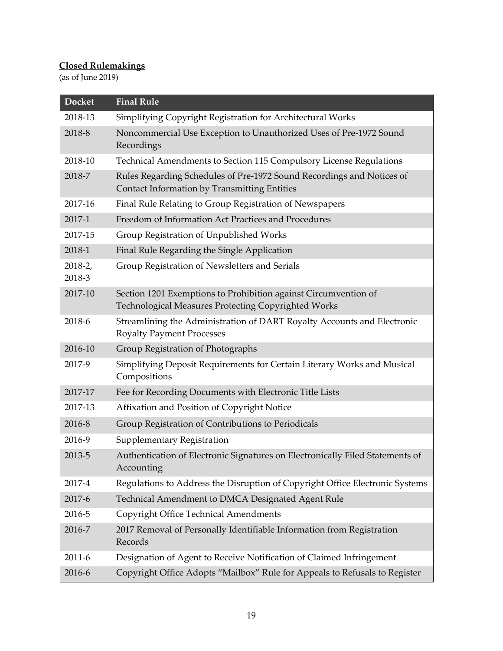## **Closed Rulemakings**

(as of June 2019)

| <b>Docket</b>     | <b>Final Rule</b>                                                                                                      |
|-------------------|------------------------------------------------------------------------------------------------------------------------|
| 2018-13           | Simplifying Copyright Registration for Architectural Works                                                             |
| 2018-8            | Noncommercial Use Exception to Unauthorized Uses of Pre-1972 Sound<br>Recordings                                       |
| 2018-10           | Technical Amendments to Section 115 Compulsory License Regulations                                                     |
| 2018-7            | Rules Regarding Schedules of Pre-1972 Sound Recordings and Notices of<br>Contact Information by Transmitting Entities  |
| 2017-16           | Final Rule Relating to Group Registration of Newspapers                                                                |
| 2017-1            | Freedom of Information Act Practices and Procedures                                                                    |
| 2017-15           | Group Registration of Unpublished Works                                                                                |
| 2018-1            | Final Rule Regarding the Single Application                                                                            |
| 2018-2,<br>2018-3 | Group Registration of Newsletters and Serials                                                                          |
| 2017-10           | Section 1201 Exemptions to Prohibition against Circumvention of<br>Technological Measures Protecting Copyrighted Works |
| 2018-6            | Streamlining the Administration of DART Royalty Accounts and Electronic<br><b>Royalty Payment Processes</b>            |
| 2016-10           | Group Registration of Photographs                                                                                      |
| 2017-9            | Simplifying Deposit Requirements for Certain Literary Works and Musical<br>Compositions                                |
| 2017-17           | Fee for Recording Documents with Electronic Title Lists                                                                |
| 2017-13           | Affixation and Position of Copyright Notice                                                                            |
| 2016-8            | Group Registration of Contributions to Periodicals                                                                     |
| 2016-9            | Supplementary Registration                                                                                             |
| 2013-5            | Authentication of Electronic Signatures on Electronically Filed Statements of<br>Accounting                            |
| 2017-4            | Regulations to Address the Disruption of Copyright Office Electronic Systems                                           |
| 2017-6            | Technical Amendment to DMCA Designated Agent Rule                                                                      |
| 2016-5            | Copyright Office Technical Amendments                                                                                  |
| 2016-7            | 2017 Removal of Personally Identifiable Information from Registration<br>Records                                       |
| 2011-6            | Designation of Agent to Receive Notification of Claimed Infringement                                                   |
| 2016-6            | Copyright Office Adopts "Mailbox" Rule for Appeals to Refusals to Register                                             |